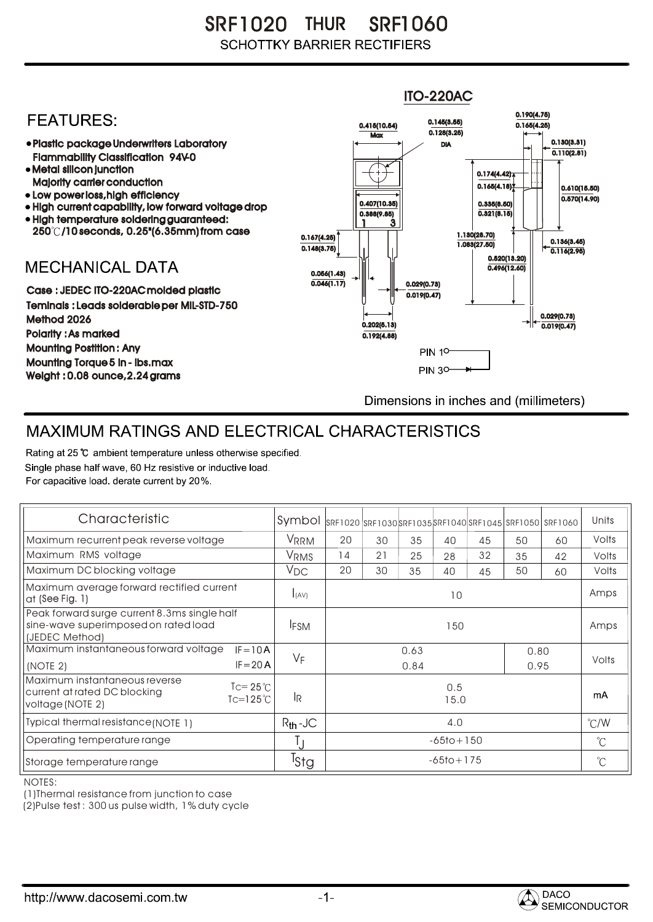SR F1020 SRF1060 THUR **SCHOTTKY BARRIER RECTIFIERS** 

## ITO-220AC0.190(4.75) **FEATURES:** 0.145(3.55) 0.415(10.54) 0.165(4.25)  $Max \overline{0.128(3.25)}$ 0.130(3.31) Plastic package Underwriters Laboratory DIA  $\overline{0.110(2.81)}$ Flammability Classification 94V-0 • Metal silicon junction  $0.174(4.42)$ Majority carrier conduction  $0.165(4.18)$ 0.610(15.50) • Low power loss, high efficiency  $0.570(14.90)$ 0.407(10.35) 0.335(8.50) • High current capability, low forward voltage drop  $0.321(8.15)$ 0.388(9.85) High temperature soldering guaranteed: 1 3 250 /10 seconds, 0.25"(6.35mm) from case 0.167(4.25) 1.130(28.70) 0.136(3.45) 0.148(3.75) 1.083(27.50) 0.116(2.95) 0.520(13.20) **MECHANICAL DATA**  $0.496(12.60)$ 0.056(1.43)  $\overline{0.046(1.17)}$   $\overline{ }$   $\parallel$   $\parallel$   $\parallel$  0.029(0.73) Case : JEDEC ITO-220AC molded plastic 0.019(0.47) Teminals : Leads solderable per MIL-STD-750 0.029(0.73) Method 2026  $0.202(5.13)$   $\rightarrow$   $\mid$   $\leftarrow$   $\frac{}{0.019(0.47)}$ Polarity : As marked 0.192(4.88) Mounting Postition : Any **PIN 10-**Mounting Torque 5 in - lbs.max **PIN 30-**Weight : 0.08 ounce,2.24 grams Dimensions in inches and (millimeters)

## MAXIMUM RATINGS AND ELECTRICAL CHARACTERISTICS

Rating at 25 °C ambient temperature unless otherwise specified. Single phase half wave, 60 Hz resistive or inductive load. For capacitive load, derate current by 20%.

| Characteristic                                                                                                                       | Symbol           |                              |    |    |    |    |    | SRF1020 SRF1030 SRF1035 SRF1040 SRF1045 SRF1050 SRF1060 | Units |
|--------------------------------------------------------------------------------------------------------------------------------------|------------------|------------------------------|----|----|----|----|----|---------------------------------------------------------|-------|
| Maximum recurrent peak reverse voltage                                                                                               | VRRM             | 20                           | 30 | 35 | 40 | 45 | 50 | 60                                                      | Volts |
| Maximum RMS voltage                                                                                                                  | V <sub>RMS</sub> | 14                           | 21 | 25 | 28 | 32 | 35 | 42                                                      | Volts |
| Maximum DC blocking voltage                                                                                                          | $V_{DC}$         | 20                           | 30 | 35 | 40 | 45 | 50 | 60                                                      | Volts |
| Maximum average forward rectified current<br>at (See Fig. 1)                                                                         | I(AV)            | 10                           |    |    |    |    |    |                                                         | Amps  |
| Peak forward surge current 8.3ms single half<br>sine-wave superimposed on rated load<br>(JEDEC Method)                               | <b>IFSM</b>      | 150                          |    |    |    |    |    |                                                         | Amps  |
| Maximum instantaneous forward voltage<br>$IF = 10A$<br>$IF = 20 A$<br>(NOTE 2)                                                       | $V_F$            | 0.63<br>0.80<br>0.95<br>0.84 |    |    |    |    |    | Volts                                                   |       |
| Maximum instantaneous reverse<br>$\text{I} = 25^{\circ}$ C<br>current at rated DC blocking<br>$Tc=125^{\circ}$ C<br>voltage (NOTE 2) | <b>IR</b>        | 0.5<br>15.0                  |    |    |    |    |    | mA                                                      |       |
| Typical thermal resistance (NOTE 1)                                                                                                  | $R_{th}$ -JC     | 4.0                          |    |    |    |    |    | $\degree$ C/W                                           |       |
| Operating temperature range                                                                                                          |                  | $-65$ to + 150               |    |    |    |    |    | $\mathrm{C}^{\circ}$                                    |       |
| Storage temperature range                                                                                                            | <sup>I</sup> Stg | $-65$ to + 175               |    |    |    |    |    | $\mathrm{C}^{\circ}$                                    |       |

NOTES:

(1)Thermal resistance from junction to case

(2)Pulse test : 300 us pulse width, 1% duty cycle